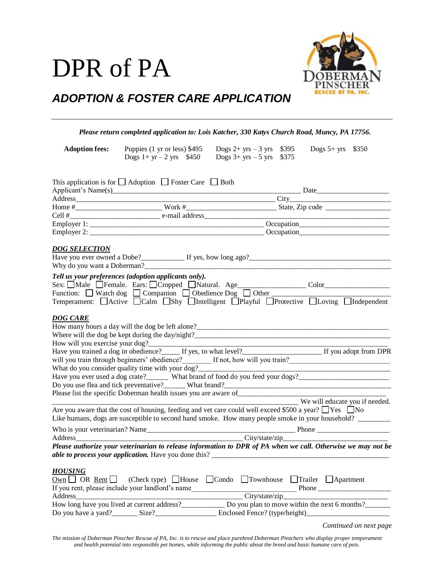## DPR of PA



## *ADOPTION & FOSTER CARE APPLICATION*

|                                                          | Please return completed application to: Lois Katcher, 330 Katys Church Road, Muncy, PA 17756.                                                                                                                                                                                                                                     |                                              |                                                                                                   |
|----------------------------------------------------------|-----------------------------------------------------------------------------------------------------------------------------------------------------------------------------------------------------------------------------------------------------------------------------------------------------------------------------------|----------------------------------------------|---------------------------------------------------------------------------------------------------|
| <b>Adoption fees:</b>                                    | Puppies (1 yr or less) \$495<br>Dogs $1 + yr - 2 yrs$ \$450 Dogs $3 + yrs - 5 yrs$ \$375                                                                                                                                                                                                                                          | Dogs 2+ yrs - 3 yrs $$395$ Dogs 5+ yrs \$350 |                                                                                                   |
|                                                          | This application is for $\Box$ Adoption $\Box$ Foster Care $\Box$ Both                                                                                                                                                                                                                                                            |                                              |                                                                                                   |
|                                                          |                                                                                                                                                                                                                                                                                                                                   |                                              |                                                                                                   |
|                                                          |                                                                                                                                                                                                                                                                                                                                   |                                              |                                                                                                   |
|                                                          |                                                                                                                                                                                                                                                                                                                                   |                                              |                                                                                                   |
|                                                          |                                                                                                                                                                                                                                                                                                                                   |                                              |                                                                                                   |
|                                                          |                                                                                                                                                                                                                                                                                                                                   |                                              |                                                                                                   |
| <b>DOG SELECTION</b>                                     |                                                                                                                                                                                                                                                                                                                                   |                                              |                                                                                                   |
|                                                          | Tell us your preferences (adoption applicants only).<br>Sex: Male Female. Ears: Cropped Natural. Age___________________Color____________<br>Function: Watch dog Companion Obedience Dog Other Temperament: Active Calm Shy Mitelligent Playful Protective Loving Mitelpendent                                                     |                                              |                                                                                                   |
|                                                          |                                                                                                                                                                                                                                                                                                                                   |                                              |                                                                                                   |
| <b>DOG CARE</b>                                          | How will you exercise your dog?<br>Have you trained a dog in obedience?<br>If yes, to what level?<br>If you adopt from DPR<br>What do you consider quality time with your dog?_________________________________<br>Have you ever used a dog crate?________ What brand of food do you feed your dogs?_____________________________ |                                              | <u> 1989 - Johann Barn, mars an t-Amerikaansk kommunister (</u><br>We will educate you if needed. |
|                                                          | Are you aware that the cost of housing, feeding and vet care could well exceed \$500 a year? $\Box$ Yes $\Box$ No<br>Like humans, dogs are susceptible to second hand smoke. How many people smoke in your household?                                                                                                             |                                              |                                                                                                   |
|                                                          |                                                                                                                                                                                                                                                                                                                                   |                                              |                                                                                                   |
| Address                                                  |                                                                                                                                                                                                                                                                                                                                   |                                              |                                                                                                   |
|                                                          | Please authorize your veterinarian to release information to DPR of PA when we call. Otherwise we may not be                                                                                                                                                                                                                      |                                              |                                                                                                   |
| <b>HOUSING</b><br>$\overline{\text{Own}}$ OR Rent $\Box$ | (Check type) $\Box$ House $\Box$ Condo $\Box$ Townhouse<br>If you rent, please include your landlord's name                                                                                                                                                                                                                       |                                              | $\Box$ Trailer $\Box$ Apartment<br>Phone                                                          |
|                                                          | How long have you lived at current address?<br>Do you plan to move within the next 6 months?                                                                                                                                                                                                                                      | City/state/zip                               |                                                                                                   |
|                                                          | Do you have a yard? Size?                                                                                                                                                                                                                                                                                                         | Enclosed Fence? (type/height)                |                                                                                                   |
|                                                          |                                                                                                                                                                                                                                                                                                                                   |                                              | Continued on next page                                                                            |